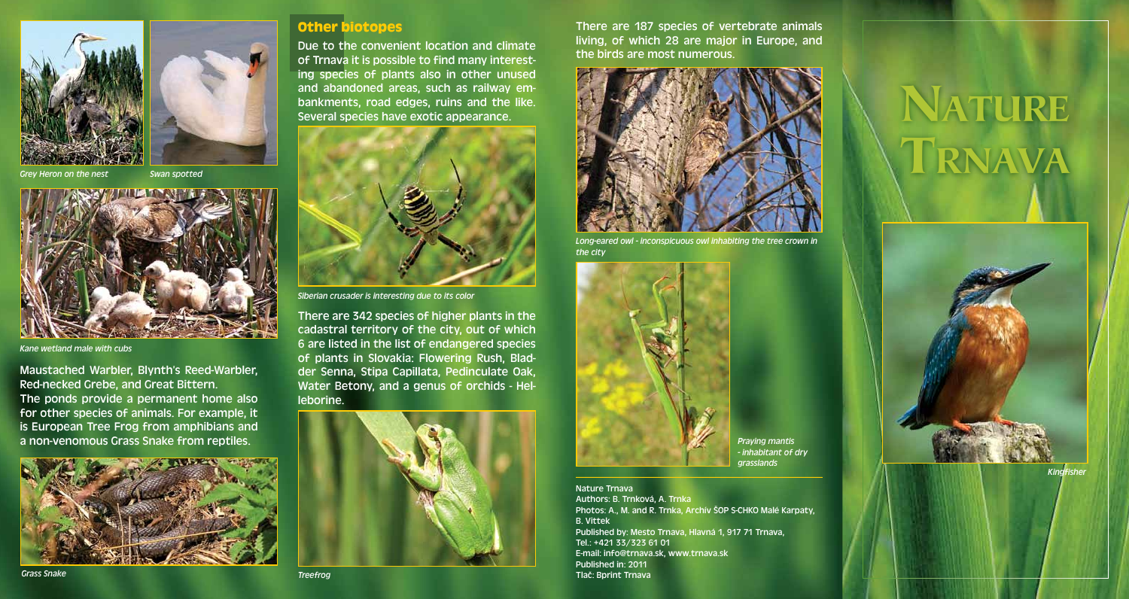

*Grey Heron on the nest*





*Kane wetland male with cubs*

Maustached Warbler, Blynth's Reed-Warbler, Red-necked Grebe, and Great Bittern. The ponds provide a permanent home also for other species of animals. For example, it is European Tree Frog from amphibians and a non-venomous Grass Snake from reptiles.



#### **Other biotopes**

Due to the convenient location and climate of Trnava it is possible to find many interesting species of plants also in other unused and abandoned areas, such as railway embankments, road edges, ruins and the like. Several species have exotic appearance.



*Siberian crusader is interesting due to its color*

There are 342 species of higher plants in the cadastral territory of the city, out of which 6 are listed in the list of endangered species of plants in Slovakia: Flowering Rush, Bladder Senna, Stipa Capillata, Pedinculate Oak, Water Betony, and a genus of orchids - Helleborine.



There are 187 species of vertebrate animals living, of which 28 are major in Europe, and the birds are most numerous.



*Long-eared owl - inconspicuous owl inhabiting the tree crown in the city*



*Praying mantis - inhabitant of dry grasslands*

Nature Trnava Authors: B. Trnková, A. Trnka Photos: A., M. and R. Trnka, Archív ŠOP S-CHKO Malé Karpaty, B. Vittek Published by: Mesto Trnava, Hlavná 1, 917 71 Trnava, Tel.: +421 33/323 61 01 E-mail: info@trnava.sk, www.trnava.sk Published in: 2011 Tlač: Bprint Trnava

# NATURE TRNAVA



*Kingfisher*